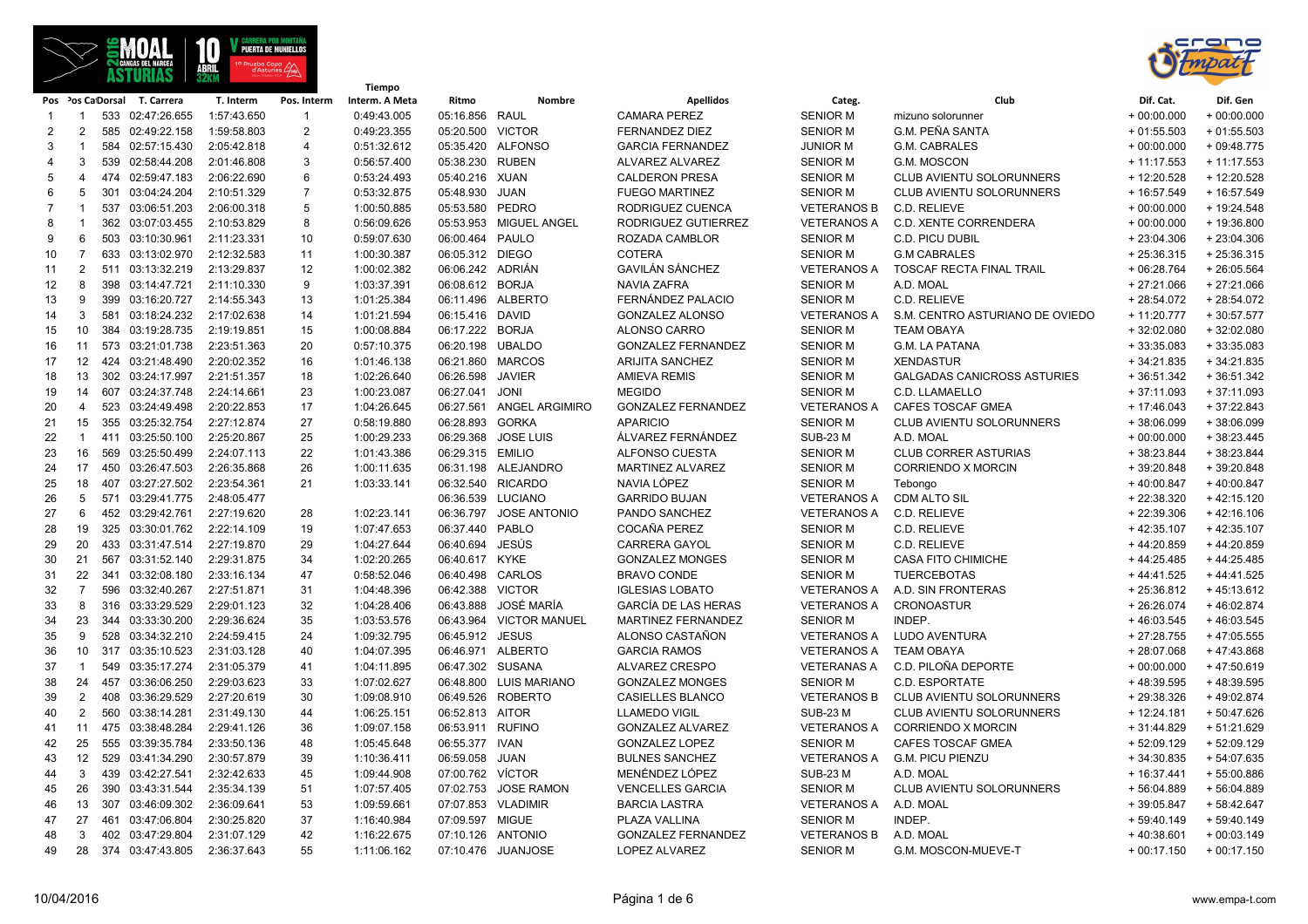



|    | rw i villav III JAMI |                   |                  | Tiempo      |                |                |                  |                         |                            |                    |                                    |              |              |
|----|----------------------|-------------------|------------------|-------------|----------------|----------------|------------------|-------------------------|----------------------------|--------------------|------------------------------------|--------------|--------------|
|    |                      | Pos Pos Ca Dorsal | T. Carrera       | T. Interm   | Pos. Interm    | Interm. A Meta | Ritmo            | Nombre                  | <b>Apellidos</b>           | Categ.             | Club                               | Dif. Cat.    | Dif. Gen     |
| -1 | -1                   |                   | 533 02:47:26.655 | 1:57:43.650 | $\mathbf{1}$   | 0:49:43.005    | 05:16.856 RAUL   |                         | <b>CAMARA PEREZ</b>        | <b>SENIOR M</b>    | mizuno solorunner                  | $+00:00.000$ | $+00:00.000$ |
| 2  | 2                    |                   | 585 02:49:22.158 | 1:59:58.803 | 2              | 0:49:23.355    | 05:20.500 VICTOR |                         | <b>FERNANDEZ DIEZ</b>      | <b>SENIOR M</b>    | <b>G.M. PEÑA SANTA</b>             | $+01:55.503$ | $+01:55.503$ |
| 3  | $\overline{1}$       |                   | 584 02:57:15.430 | 2:05:42.818 | $\overline{4}$ | 0:51:32.612    |                  | 05:35.420 ALFONSO       | <b>GARCIA FERNANDEZ</b>    | <b>JUNIOR M</b>    | G.M. CABRALES                      | $+00:00.000$ | $+09:48.775$ |
| 4  | 3                    |                   | 539 02:58:44.208 | 2:01:46.808 | 3              | 0:56:57.400    | 05:38.230 RUBEN  |                         | ALVAREZ ALVAREZ            | <b>SENIOR M</b>    | G.M. MOSCON                        | $+11:17.553$ | $+11:17.553$ |
| 5  | $\overline{4}$       |                   | 474 02:59:47.183 | 2:06:22.690 | 6              | 0:53:24.493    | 05:40.216 XUAN   |                         | <b>CALDERON PRESA</b>      | <b>SENIOR M</b>    | CLUB AVIENTU SOLORUNNERS           | + 12:20.528  | + 12:20.528  |
| 6  | 5                    | 301               | 03:04:24.204     | 2:10:51.329 | $\overline{7}$ | 0:53:32.875    | 05:48.930        | JUAN                    | <b>FUEGO MARTINEZ</b>      | <b>SENIOR M</b>    | CLUB AVIENTU SOLORUNNERS           | + 16:57.549  | + 16:57.549  |
| 7  | -1                   |                   | 537 03:06:51.203 | 2:06:00.318 | 5              | 1:00:50.885    | 05:53.580        | PEDRO                   | RODRIGUEZ CUENCA           | <b>VETERANOS B</b> | C.D. RELIEVE                       | $+00:00.000$ | + 19:24.548  |
| 8  | -1                   | 362               | 03:07:03.455     | 2:10:53.829 | 8              | 0:56:09.626    |                  | 05:53.953 MIGUEL ANGEL  | RODRIGUEZ GUTIERREZ        | <b>VETERANOS A</b> | C.D. XENTE CORRENDERA              | $+00:00.000$ | + 19:36.800  |
| 9  | 6                    |                   | 503 03:10:30.961 | 2:11:23.331 | 10             | 0:59:07.630    | 06:00.464 PAULO  |                         | ROZADA CAMBLOR             | <b>SENIOR M</b>    | C.D. PICU DUBIL                    | $+23:04.306$ | $+23:04.306$ |
| 10 | $\overline{7}$       | 633               | 03:13:02.970     | 2:12:32.583 | 11             | 1:00:30.387    | 06:05.312 DIEGO  |                         | <b>COTERA</b>              | <b>SENIOR M</b>    | <b>G.M CABRALES</b>                | $+25:36.315$ | $+25:36.315$ |
| 11 | $\overline{2}$       |                   | 511 03:13:32.219 | 2:13:29.837 | 12             | 1:00:02.382    | 06:06.242 ADRIÁN |                         | GAVILÁN SÁNCHEZ            | <b>VETERANOS A</b> | TOSCAF RECTA FINAL TRAIL           | $+06:28.764$ | $+26:05.564$ |
| 12 | 8                    | 398               | 03:14:47.721     | 2:11:10.330 | 9              | 1:03:37.391    | 06:08.612        | <b>BORJA</b>            | <b>NAVIA ZAFRA</b>         | <b>SENIOR M</b>    | A.D. MOAL                          | $+27:21.066$ | $+27:21.066$ |
| 13 | 9                    |                   | 399 03:16:20.727 | 2:14:55.343 | 13             | 1:01:25.384    |                  | 06:11.496 ALBERTO       | FERNÁNDEZ PALACIO          | <b>SENIOR M</b>    | C.D. RELIEVE                       | +28:54.072   | +28:54.072   |
| 14 | 3                    |                   | 581 03:18:24.232 | 2:17:02.638 | 14             | 1:01:21.594    | 06:15.416        | <b>DAVID</b>            | GONZALEZ ALONSO            | <b>VETERANOS A</b> | S.M. CENTRO ASTURIANO DE OVIEDO    | $+11:20.777$ | $+30:57.577$ |
| 15 | 10                   |                   | 384 03:19:28.735 | 2:19:19.851 | 15             | 1:00:08.884    | 06:17.222        | <b>BORJA</b>            | ALONSO CARRO               | <b>SENIOR M</b>    | <b>TEAM OBAYA</b>                  | $+32:02.080$ | $+32:02.080$ |
| 16 | 11                   |                   | 573 03:21:01.738 | 2:23:51.363 | 20             | 0:57:10.375    | 06:20.198        | <b>UBALDO</b>           | <b>GONZALEZ FERNANDEZ</b>  | <b>SENIOR M</b>    | G.M. LA PATANA                     | $+33:35.083$ | $+33:35.083$ |
| 17 | 12                   |                   | 424 03:21:48.490 | 2:20:02.352 | 16             | 1:01:46.138    | 06:21.860        | MARCOS                  | <b>ARIJITA SANCHEZ</b>     | <b>SENIOR M</b>    | <b>XENDASTUR</b>                   | $+34:21.835$ | $+34:21.835$ |
| 18 | 13                   |                   | 302 03:24:17.997 | 2:21:51.357 | 18             | 1:02:26.640    | 06:26.598        | <b>JAVIER</b>           | <b>AMIEVA REMIS</b>        | <b>SENIOR M</b>    | <b>GALGADAS CANICROSS ASTURIES</b> | $+36:51.342$ | $+36:51.342$ |
| 19 | 14                   |                   | 607 03:24:37.748 | 2:24:14.661 | 23             | 1:00:23.087    | 06:27.041        | JONI                    | <b>MEGIDO</b>              | <b>SENIOR M</b>    | C.D. LLAMAELLO                     | $+37:11.093$ | $+37:11.093$ |
| 20 | $\overline{4}$       |                   | 523 03:24:49.498 | 2:20:22.853 | 17             | 1:04:26.645    | 06:27.561        | <b>ANGEL ARGIMIRO</b>   | <b>GONZALEZ FERNANDEZ</b>  | <b>VETERANOS A</b> | <b>CAFES TOSCAF GMEA</b>           | $+17:46.043$ | $+37:22.843$ |
| 21 | 15                   |                   | 355 03:25:32.754 | 2:27:12.874 | 27             | 0:58:19.880    | 06:28.893        | <b>GORKA</b>            | <b>APARICIO</b>            | <b>SENIOR M</b>    | CLUB AVIENTU SOLORUNNERS           | +38:06.099   | +38:06.099   |
| 22 | $\overline{1}$       |                   | 411 03:25:50.100 | 2:25:20.867 | 25             | 1:00:29.233    | 06:29.368        | <b>JOSE LUIS</b>        | ÁLVAREZ FERNÁNDEZ          | <b>SUB-23 M</b>    | A.D. MOAL                          | $+00:00.000$ | $+38:23.445$ |
| 23 | 16                   |                   | 569 03:25:50.499 | 2:24:07.113 | 22             | 1:01:43.386    | 06:29.315 EMILIO |                         | ALFONSO CUESTA             | <b>SENIOR M</b>    | <b>CLUB CORRER ASTURIAS</b>        | $+38:23.844$ | +38:23.844   |
| 24 | 17                   |                   | 450 03:26:47.503 | 2:26:35.868 | 26             | 1:00:11.635    |                  | 06:31.198 ALEJANDRO     | MARTINEZ ALVAREZ           | <b>SENIOR M</b>    | <b>CORRIENDO X MORCIN</b>          | $+39:20.848$ | $+39:20.848$ |
| 25 | 18                   |                   | 407 03:27:27.502 | 2:23:54.361 | 21             | 1:03:33.141    |                  | 06:32.540 RICARDO       | NAVIA LÓPEZ                | <b>SENIOR M</b>    | Tebongo                            | $+40:00.847$ | $+40:00.847$ |
| 26 | 5                    |                   | 571 03:29:41.775 | 2:48:05.477 |                |                |                  | 06:36.539 LUCIANO       | <b>GARRIDO BUJAN</b>       | <b>VETERANOS A</b> | <b>CDM ALTO SIL</b>                | + 22:38.320  | $+42:15.120$ |
| 27 | 6                    | 452               | 03:29:42.761     | 2:27:19.620 | 28             | 1:02:23.141    | 06:36.797        | <b>JOSE ANTONIO</b>     | PANDO SANCHEZ              | <b>VETERANOS A</b> | C.D. RELIEVE                       | $+22:39.306$ | $+42:16.106$ |
| 28 | 19                   |                   | 325 03:30:01.762 | 2:22:14.109 | 19             | 1:07:47.653    | 06:37.440 PABLO  |                         | COCAÑA PEREZ               | <b>SENIOR M</b>    | C.D. RELIEVE                       | $+42:35.107$ | $+42:35.107$ |
| 29 | 20                   | 433               | 03:31:47.514     | 2:27:19.870 | 29             | 1:04:27.644    | 06:40.694        | JESÚS                   | <b>CARRERA GAYOL</b>       | <b>SENIOR M</b>    | C.D. RELIEVE                       | $+44:20.859$ | $+44:20.859$ |
| 30 | 21                   |                   | 567 03:31:52.140 | 2:29:31.875 | 34             | 1:02:20.265    | 06:40.617 KYKE   |                         | <b>GONZALEZ MONGES</b>     | <b>SENIOR M</b>    | <b>CASA FITO CHIMICHE</b>          | $+44:25.485$ | $+44:25.485$ |
| 31 | 22                   | 341               | 03:32:08.180     | 2:33:16.134 | 47             | 0:58:52.046    | 06:40.498        | CARLOS                  | <b>BRAVO CONDE</b>         | <b>SENIOR M</b>    | <b>TUERCEBOTAS</b>                 | $+44:41.525$ | $+44:41.525$ |
| 32 | $\overline{7}$       |                   | 596 03:32:40.267 | 2:27:51.871 | 31             | 1:04:48.396    | 06:42.388        | <b>VICTOR</b>           | <b>IGLESIAS LOBATO</b>     | <b>VETERANOS A</b> | A.D. SIN FRONTERAS                 | $+25:36.812$ | $+45:13.612$ |
| 33 | 8                    |                   | 316 03:33:29.529 | 2:29:01.123 | 32             | 1:04:28.406    | 06:43.888        | JOSÉ MARÍA              | <b>GARCÍA DE LAS HERAS</b> | <b>VETERANOS A</b> | <b>CRONOASTUR</b>                  | $+26:26.074$ | +46:02.874   |
| 34 | 23                   |                   | 344 03:33:30.200 | 2:29:36.624 | 35             | 1:03:53.576    |                  | 06:43.964 VICTOR MANUEL | MARTINEZ FERNANDEZ         | <b>SENIOR M</b>    | INDEP.                             | $+46:03.545$ | $+46:03.545$ |
| 35 | 9                    |                   | 528 03:34:32.210 | 2:24:59.415 | 24             | 1:09:32.795    | 06:45.912 JESUS  |                         | ALONSO CASTAÑON            | <b>VETERANOS A</b> | LUDO AVENTURA                      | $+27:28.755$ | $+47:05.555$ |
| 36 | 10                   |                   | 317 03:35:10.523 | 2:31:03.128 | 40             | 1:04:07.395    |                  | 06:46.971 ALBERTO       | <b>GARCIA RAMOS</b>        | <b>VETERANOS A</b> | <b>TEAM OBAYA</b>                  | +28:07.068   | +47:43.868   |
| 37 | $\overline{1}$       |                   | 549 03:35:17.274 | 2:31:05.379 | 41             | 1:04:11.895    | 06:47.302 SUSANA |                         | ALVAREZ CRESPO             | <b>VETERANAS A</b> | C.D. PILOÑA DEPORTE                | $+00:00.000$ | $+47:50.619$ |
| 38 | 24                   | 457               | 03:36:06.250     | 2:29:03.623 | 33             | 1:07:02.627    |                  | 06:48.800 LUIS MARIANO  | <b>GONZALEZ MONGES</b>     | <b>SENIOR M</b>    | C.D. ESPORTATE                     | +48:39.595   | +48:39.595   |
| 39 | $\overline{2}$       |                   | 408 03:36:29.529 | 2:27:20.619 | 30             | 1:09:08.910    |                  | 06:49.526 ROBERTO       | <b>CASIELLES BLANCO</b>    | <b>VETERANOS B</b> | <b>CLUB AVIENTU SOLORUNNERS</b>    | $+29:38.326$ | +49:02.874   |
| 40 | 2                    |                   | 560 03:38:14.281 | 2:31:49.130 | 44             | 1:06:25.151    | 06:52.813 AITOR  |                         | <b>LLAMEDO VIGIL</b>       | <b>SUB-23 M</b>    | CLUB AVIENTU SOLORUNNERS           | $+12:24.181$ | + 50:47.626  |
| 41 | 11                   |                   | 475 03:38:48.284 | 2:29:41.126 | 36             | 1:09:07.158    | 06:53.911 RUFINO |                         | <b>GONZALEZ ALVAREZ</b>    | <b>VETERANOS A</b> | <b>CORRIENDO X MORCIN</b>          | $+31:44.829$ | $+51:21.629$ |
| 42 | 25                   |                   | 555 03:39:35.784 | 2:33:50.136 | 48             | 1:05:45.648    | 06:55.377 IVAN   |                         | <b>GONZALEZ LOPEZ</b>      | <b>SENIOR M</b>    | <b>CAFES TOSCAF GMEA</b>           | $+52:09.129$ | $+52:09.129$ |
| 43 | 12                   |                   | 529 03:41:34.290 | 2:30:57.879 | 39             | 1:10:36.411    | 06:59.058        | <b>JUAN</b>             | <b>BULNES SANCHEZ</b>      | <b>VETERANOS A</b> | <b>G.M. PICU PIENZU</b>            | $+34:30.835$ | $+54:07.635$ |
| 44 | 3                    | 439               | 03:42:27.541     | 2:32:42.633 | 45             | 1:09:44.908    | 07:00.762 VÍCTOR |                         | MENÉNDEZ LÓPEZ             | <b>SUB-23 M</b>    | A.D. MOAL                          | $+16:37.441$ | +55:00.886   |
| 45 | 26                   |                   | 390 03:43:31.544 | 2:35:34.139 | 51             | 1:07:57.405    | 07:02.753        | <b>JOSE RAMON</b>       | <b>VENCELLES GARCIA</b>    | <b>SENIOR M</b>    | <b>CLUB AVIENTU SOLORUNNERS</b>    | + 56:04.889  | $+56:04.889$ |
| 46 | 13                   | 307               | 03:46:09.302     | 2:36:09.641 | 53             | 1:09:59.661    | 07:07.853        | <b>VLADIMIR</b>         | <b>BARCIA LASTRA</b>       | <b>VETERANOS A</b> | A.D. MOAL                          | $+39:05.847$ | $+58:42.647$ |
| 47 | 27                   | 461               | 03:47:06.804     | 2:30:25.820 | 37             | 1:16:40.984    | 07:09.597 MIGUE  |                         | PLAZA VALLINA              | <b>SENIOR M</b>    | INDEP.                             | $+59:40.149$ | $+59:40.149$ |
| 48 | 3                    |                   | 402 03:47:29.804 | 2:31:07.129 | 42             | 1:16:22.675    |                  | 07:10.126 ANTONIO       | <b>GONZALEZ FERNANDEZ</b>  | <b>VETERANOS B</b> | A.D. MOAL                          | $+40:38.601$ | $+00:03.149$ |
| 49 | 28                   |                   | 374 03:47:43.805 | 2:36:37.643 | 55             | 1:11:06.162    |                  | 07:10.476 JUANJOSE      | <b>LOPEZ ALVAREZ</b>       | <b>SENIOR M</b>    | G.M. MOSCON-MUEVE-T                | $+00:17.150$ | $+00:17.150$ |
|    |                      |                   |                  |             |                |                |                  |                         |                            |                    |                                    |              |              |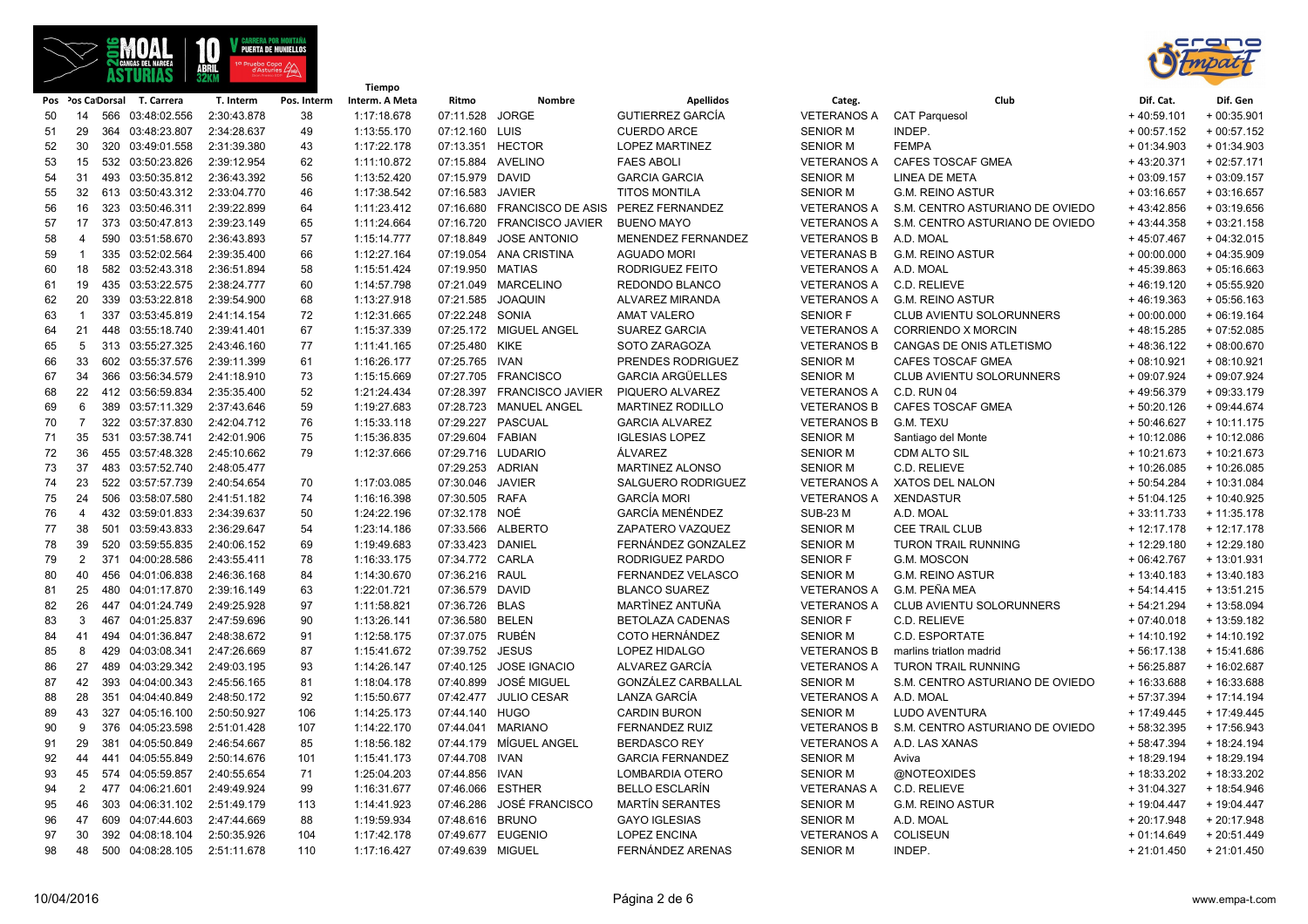

**Tiempo**



|          |                |     |                                      |             |             | Tiempo                     |                   |                            |                                              |                       |                                 |               |              |
|----------|----------------|-----|--------------------------------------|-------------|-------------|----------------------------|-------------------|----------------------------|----------------------------------------------|-----------------------|---------------------------------|---------------|--------------|
|          |                |     | Pos Pos Ca Dorsal T. Carrera         | T. Interm   | Pos. Interm | Interm. A Meta             | Ritmo             | Nombre                     | <b>Apellidos</b>                             | Categ.                | Club                            | Dif. Cat.     | Dif. Gen     |
| 50       | 14             |     | 566 03:48:02.556                     | 2:30:43.878 | 38          | 1:17:18.678                | 07:11.528         | <b>JORGE</b>               | <b>GUTIERREZ GARCÍA</b>                      | <b>VETERANOS A</b>    | <b>CAT Parquesol</b>            | $+40:59.101$  | $+00:35.901$ |
| 51       | 29             |     | 364 03:48:23.807                     | 2:34:28.637 | 49          | 1:13:55.170                | 07:12.160         | LUIS                       | <b>CUERDO ARCE</b>                           | <b>SENIOR M</b>       | INDEP.                          | $+00:57.152$  | $+00:57.152$ |
| 52       | 30             |     | 320 03:49:01.558                     | 2:31:39.380 | 43          | 1:17:22.178                | 07:13.351         | <b>HECTOR</b>              | <b>LOPEZ MARTINEZ</b>                        | <b>SENIOR M</b>       | <b>FEMPA</b>                    | $+01:34.903$  | $+01:34.903$ |
| 53       | 15             |     | 532 03:50:23.826                     | 2:39:12.954 | 62          | 1:11:10.872                | 07:15.884 AVELINO |                            | <b>FAES ABOLI</b>                            | <b>VETERANOS A</b>    | <b>CAFES TOSCAF GMEA</b>        | $+43:20.371$  | $+02:57.171$ |
| 54       | 31             |     | 493 03:50:35.812                     | 2:36:43.392 | 56          | 1:13:52.420                | 07:15.979 DAVID   |                            | <b>GARCIA GARCIA</b>                         | <b>SENIOR M</b>       | <b>LINEA DE META</b>            | $+03:09.157$  | $+03:09.157$ |
| 55       | 32             |     | 613 03:50:43.312                     | 2:33:04.770 | 46          | 1:17:38.542                | 07:16.583         | JAVIER                     | <b>TITOS MONTILA</b>                         | <b>SENIOR M</b>       | <b>G.M. REINO ASTUR</b>         | $+03:16.657$  | $+03:16.657$ |
| 56       | 16             |     | 323 03:50:46.311                     | 2:39:22.899 | 64          | 1:11:23.412                | 07:16.680         | <b>FRANCISCO DE ASIS</b>   | PEREZ FERNANDEZ                              | <b>VETERANOS A</b>    | S.M. CENTRO ASTURIANO DE OVIEDO | $+43:42.856$  | $+03:19.656$ |
| 57       | 17             |     | 373 03:50:47.813                     | 2:39:23.149 | 65          | 1:11:24.664                |                   | 07:16.720 FRANCISCO JAVIER | <b>BUENO MAYO</b>                            | <b>VETERANOS A</b>    | S.M. CENTRO ASTURIANO DE OVIEDO | $+43:44.358$  | $+03:21.158$ |
| 58       | 4              |     | 590 03:51:58.670                     | 2:36:43.893 | 57          | 1:15:14.777                | 07:18.849         | <b>JOSE ANTONIO</b>        | MENENDEZ FERNANDEZ                           | <b>VETERANOS B</b>    | A.D. MOAL                       | +45:07.467    | $+04:32.015$ |
| 59       | $\overline{1}$ |     | 335 03:52:02.564                     | 2:39:35.400 | 66          | 1:12:27.164                |                   | 07:19.054 ANA CRISTINA     | <b>AGUADO MORI</b>                           | <b>VETERANAS B</b>    | <b>G.M. REINO ASTUR</b>         | $+00:00.000$  | $+04:35.909$ |
| 60       | 18             |     | 582 03:52:43.318                     | 2:36:51.894 | 58          | 1:15:51.424                | 07:19.950         | <b>MATIAS</b>              | RODRIGUEZ FEITO                              | VETERANOS A A.D. MOAL |                                 | $+45:39.863$  | $+05:16.663$ |
| 61       | 19             |     | 435 03:53:22.575                     | 2:38:24.777 | 60          | 1:14:57.798                |                   | 07:21.049 MARCELINO        | REDONDO BLANCO                               | <b>VETERANOS A</b>    | C.D. RELIEVE                    | $+46:19.120$  | $+05:55.920$ |
| 62       | 20             |     | 339 03:53:22.818                     | 2:39:54.900 | 68          | 1:13:27.918                | 07:21.585         | <b>JOAQUIN</b>             | ALVAREZ MIRANDA                              |                       | VETERANOS A G.M. REINO ASTUR    | $+46:19.363$  | $+05:56.163$ |
| 63       | $\overline{1}$ |     | 337 03:53:45.819                     | 2:41:14.154 | 72          | 1:12:31.665                | 07:22.248 SONIA   |                            | <b>AMAT VALERO</b>                           | <b>SENIOR F</b>       | CLUB AVIENTU SOLORUNNERS        | $+00:00.000$  | $+06:19.164$ |
| 64       | 21             |     | 448 03:55:18.740                     | 2:39:41.401 | 67          | 1:15:37.339                |                   | 07:25.172 MIGUEL ANGEL     | <b>SUAREZ GARCIA</b>                         | <b>VETERANOS A</b>    | CORRIENDO X MORCIN              | $+48:15.285$  | $+07:52.085$ |
| 65       | 5              |     | 313 03:55:27.325                     | 2:43:46.160 | 77          | 1:11:41.165                | 07:25.480 KIKE    |                            | SOTO ZARAGOZA                                | <b>VETERANOS B</b>    | CANGAS DE ONIS ATLETISMO        | $+48:36.122$  | $+08:00.670$ |
| 66       | 33             |     | 602 03:55:37.576                     | 2:39:11.399 | 61          | 1:16:26.177                | 07:25.765 IVAN    |                            | PRENDES RODRIGUEZ                            | <b>SENIOR M</b>       | CAFES TOSCAF GMEA               | $+08:10.921$  | $+08:10.921$ |
| 67       | 34             |     | 366 03:56:34.579                     | 2:41:18.910 | 73          | 1:15:15.669                |                   | 07:27.705 FRANCISCO        | <b>GARCIA ARGÜELLES</b>                      | <b>SENIOR M</b>       | CLUB AVIENTU SOLORUNNERS        | + 09:07.924   | + 09:07.924  |
| 68       | 22             |     | 412 03:56:59.834                     | 2:35:35.400 | 52          | 1:21:24.434                |                   | 07:28.397 FRANCISCO JAVIER | PIQUERO ALVAREZ                              | VETERANOS A           | C.D. RUN 04                     | +49:56.379    | $+09:33.179$ |
| 69       | 6              |     | 389 03:57:11.329                     | 2:37:43.646 | 59          | 1:19:27.683                |                   | 07:28.723 MANUEL ANGEL     | <b>MARTINEZ RODILLO</b>                      | <b>VETERANOS B</b>    | CAFES TOSCAF GMEA               | $+50:20.126$  | $+09:44.674$ |
| 70       | $\overline{7}$ |     | 322 03:57:37.830                     | 2:42:04.712 | 76          | 1:15:33.118                |                   | 07:29.227 PASCUAL          | <b>GARCIA ALVAREZ</b>                        | <b>VETERANOS B</b>    | G.M. TEXU                       | $+50:46.627$  | $+10:11.175$ |
| 71       | 35             |     | 531 03:57:38.741                     | 2:42:01.906 | 75          | 1:15:36.835                | 07:29.604  FABIAN |                            | <b>IGLESIAS LOPEZ</b>                        | <b>SENIOR M</b>       | Santiago del Monte              | $+10:12.086$  | $+10:12.086$ |
| 72       | 36             |     | 455 03:57:48.328                     | 2:45:10.662 | 79          | 1:12:37.666                |                   | 07:29.716 LUDARIO          | ÁLVAREZ                                      | <b>SENIOR M</b>       | <b>CDM ALTO SIL</b>             | $+10:21.673$  | $+10:21.673$ |
| 73       | 37             |     | 483 03:57:52.740                     | 2:48:05.477 |             |                            | 07:29.253 ADRIAN  |                            | MARTINEZ ALONSO                              | <b>SENIOR M</b>       | C.D. RELIEVE                    | $+10:26.085$  | + 10:26.085  |
| 74       | 23             |     | 522 03:57:57.739                     | 2:40:54.654 | 70          | 1:17:03.085                | 07:30.046 JAVIER  |                            | SALGUERO RODRIGUEZ                           | <b>VETERANOS A</b>    | XATOS DEL NALON                 | $+50:54.284$  | + 10:31.084  |
| 75       | 24             |     | 506 03:58:07.580                     | 2:41:51.182 | 74          | 1:16:16.398                | 07:30.505 RAFA    |                            | <b>GARCÍA MORI</b>                           | <b>VETERANOS A</b>    | <b>XENDASTUR</b>                | $+51:04.125$  | + 10:40.925  |
| 76       | $\overline{4}$ |     | 432 03:59:01.833                     | 2:34:39.637 | 50          | 1:24:22.196                | 07:32.178 NOÉ     |                            | <b>GARCÍA MENÉNDEZ</b>                       | <b>SUB-23 M</b>       | A.D. MOAL                       | $+33:11.733$  | $+11:35.178$ |
| 77       | 38             |     | 501 03:59:43.833                     | 2:36:29.647 | 54          | 1:23:14.186                |                   | 07:33.566 ALBERTO          | ZAPATERO VAZQUEZ                             | <b>SENIOR M</b>       | CEE TRAIL CLUB                  | $+12:17.178$  | $+12:17.178$ |
| 78       | 39             |     | 520 03:59:55.835                     | 2:40:06.152 | 69          | 1:19:49.683                | 07:33.423 DANIEL  |                            | FERNÁNDEZ GONZALEZ                           | <b>SENIOR M</b>       | <b>TURON TRAIL RUNNING</b>      | $+12:29.180$  | $+12:29.180$ |
| 79       | 2              |     | 371 04:00:28.586                     | 2:43:55.411 | 78          | 1:16:33.175                | 07:34.772 CARLA   |                            | RODRIGUEZ PARDO                              | <b>SENIOR F</b>       | G.M. MOSCON                     | $+06:42.767$  | $+13:01.931$ |
| 80       | 40             |     | 456 04:01:06.838                     | 2:46:36.168 | 84          | 1:14:30.670                | 07:36.216 RAUL    |                            | FERNANDEZ VELASCO                            | <b>SENIOR M</b>       | <b>G.M. REINO ASTUR</b>         | $+13:40.183$  | $+13:40.183$ |
| 81       | 25             |     | 480 04:01:17.870                     | 2:39:16.149 | 63          | 1:22:01.721                | 07:36.579 DAVID   |                            | <b>BLANCO SUAREZ</b>                         | <b>VETERANOS A</b>    | G.M. PEÑA MEA                   | $+54:14.415$  | $+13:51.215$ |
| 82       | 26             |     | 447 04:01:24.749                     | 2:49:25.928 | 97          | 1:11:58.821                | 07:36.726 BLAS    |                            | MARTÌNEZ ANTUÑA                              | <b>VETERANOS A</b>    | CLUB AVIENTU SOLORUNNERS        | $+54:21.294$  | + 13:58.094  |
| 83       | 3              |     | 467 04:01:25.837                     | 2:47:59.696 | 90          | 1:13:26.141                | 07:36.580         | <b>BELEN</b>               | BETOLAZA CADENAS                             | <b>SENIOR F</b>       | C.D. RELIEVE                    | $+07:40.018$  | $+13:59.182$ |
| 84       | 41             |     | 494 04:01:36.847                     | 2:48:38.672 | 91          | 1:12:58.175                | 07:37.075 RUBÉN   |                            | COTO HERNÁNDEZ                               | <b>SENIOR M</b>       | C.D. ESPORTATE                  | $+14:10.192$  | $+14:10.192$ |
|          | 8              | 429 | 04:03:08.341                         | 2:47:26.669 | 87          | 1:15:41.672                | 07:39.752         | <b>JESUS</b>               | LOPEZ HIDALGO                                | <b>VETERANOS B</b>    | marlins triation madrid         | $+56:17.138$  | + 15:41.686  |
| 85       | 27             |     | 489 04:03:29.342                     | 2:49:03.195 | 93          | 1:14:26.147                |                   | 07:40.125 JOSE IGNACIO     | ALVAREZ GARCÍA                               | <b>VETERANOS A</b>    | <b>TURON TRAIL RUNNING</b>      | + 56:25.887   | + 16:02.687  |
| 86<br>87 | 42             |     | 393 04:04:00.343                     | 2:45:56.165 | 81          | 1:18:04.178                | 07:40.899         | JOSÉ MIGUEL                | GONZÁLEZ CARBALLAL                           | <b>SENIOR M</b>       | S.M. CENTRO ASTURIANO DE OVIEDO | $+16:33.688$  | $+16:33.688$ |
|          | 28             |     | 351 04:04:40.849                     | 2:48:50.172 |             | 1:15:50.677                |                   | 07:42.477 JULIO CESAR      | LANZA GARCÍA                                 | VETERANOS A A.D. MOAL |                                 | $+57:37.394$  | $+17:14.194$ |
| 88       | 43             |     |                                      |             | 92          |                            | 07:44.140 HUGO    |                            |                                              | <b>SENIOR M</b>       | <b>LUDO AVENTURA</b>            | $+ 17:49.445$ |              |
| 89       | 9              |     | 327 04:05:16.100<br>376 04:05:23.598 | 2:50:50.927 | 106         | 1:14:25.173<br>1:14:22.170 |                   | 07:44.041 MARIANO          | <b>CARDIN BURON</b><br><b>FERNANDEZ RUIZ</b> |                       | S.M. CENTRO ASTURIANO DE OVIEDO | $+58:32.395$  | $+17:49.445$ |
| 90       |                |     |                                      | 2:51:01.428 | 107         |                            |                   |                            |                                              | <b>VETERANOS B</b>    |                                 |               | + 17:56.943  |
| 91       | 29             | 381 | 04:05:50.849                         | 2:46:54.667 | 85          | 1:18:56.182                |                   | 07:44.179 MÍGUEL ANGEL     | <b>BERDASCO REY</b>                          | <b>VETERANOS A</b>    | A.D. LAS XANAS                  | $+58:47.394$  | $+18:24.194$ |
| 92       | 44             |     | 441 04:05:55.849                     | 2:50:14.676 | 101         | 1:15:41.173                | 07:44.708 IVAN    |                            | <b>GARCIA FERNANDEZ</b>                      | <b>SENIOR M</b>       | Aviva                           | + 18:29.194   | + 18:29.194  |
| 93       | 45             |     | 574 04:05:59.857                     | 2:40:55.654 | 71          | 1:25:04.203                | 07:44.856         | <b>IVAN</b>                | LOMBARDIA OTERO                              | <b>SENIOR M</b>       | @NOTEOXIDES                     | $+18:33.202$  | + 18:33.202  |
| 94       | 2              |     | 477 04:06:21.601                     | 2:49:49.924 | 99          | 1:16:31.677                | 07:46.066         | <b>ESTHER</b>              | <b>BELLO ESCLARÍN</b>                        | <b>VETERANAS A</b>    | C.D. RELIEVE                    | $+31:04.327$  | + 18:54.946  |
| 95       | 46             |     | 303 04:06:31.102                     | 2:51:49.179 | 113         | 1:14:41.923                | 07:46.286         | <b>JOSÉ FRANCISCO</b>      | <b>MARTÍN SERANTES</b>                       | <b>SENIOR M</b>       | <b>G.M. REINO ASTUR</b>         | $+ 19:04.447$ | + 19:04.447  |
| 96       | 47             |     | 609 04:07:44.603                     | 2:47:44.669 | 88          | 1:19:59.934                | 07:48.616 BRUNO   |                            | <b>GAYO IGLESIAS</b>                         | <b>SENIOR M</b>       | A.D. MOAL                       | $+20:17.948$  | $+20:17.948$ |
| 97       | 30             |     | 392 04:08:18.104                     | 2:50:35.926 | 104         | 1:17:42.178                |                   | 07:49.677 EUGENIO          | <b>LOPEZ ENCINA</b>                          | <b>VETERANOS A</b>    | <b>COLISEUN</b>                 | $+01:14.649$  | $+20:51.449$ |
| 98       | 48             |     | 500 04:08:28.105                     | 2:51:11.678 | 110         | 1:17:16.427                | 07:49.639 MIGUEL  |                            | FERNÁNDEZ ARENAS                             | <b>SENIOR M</b>       | INDEP.                          | $+21:01.450$  | $+21:01.450$ |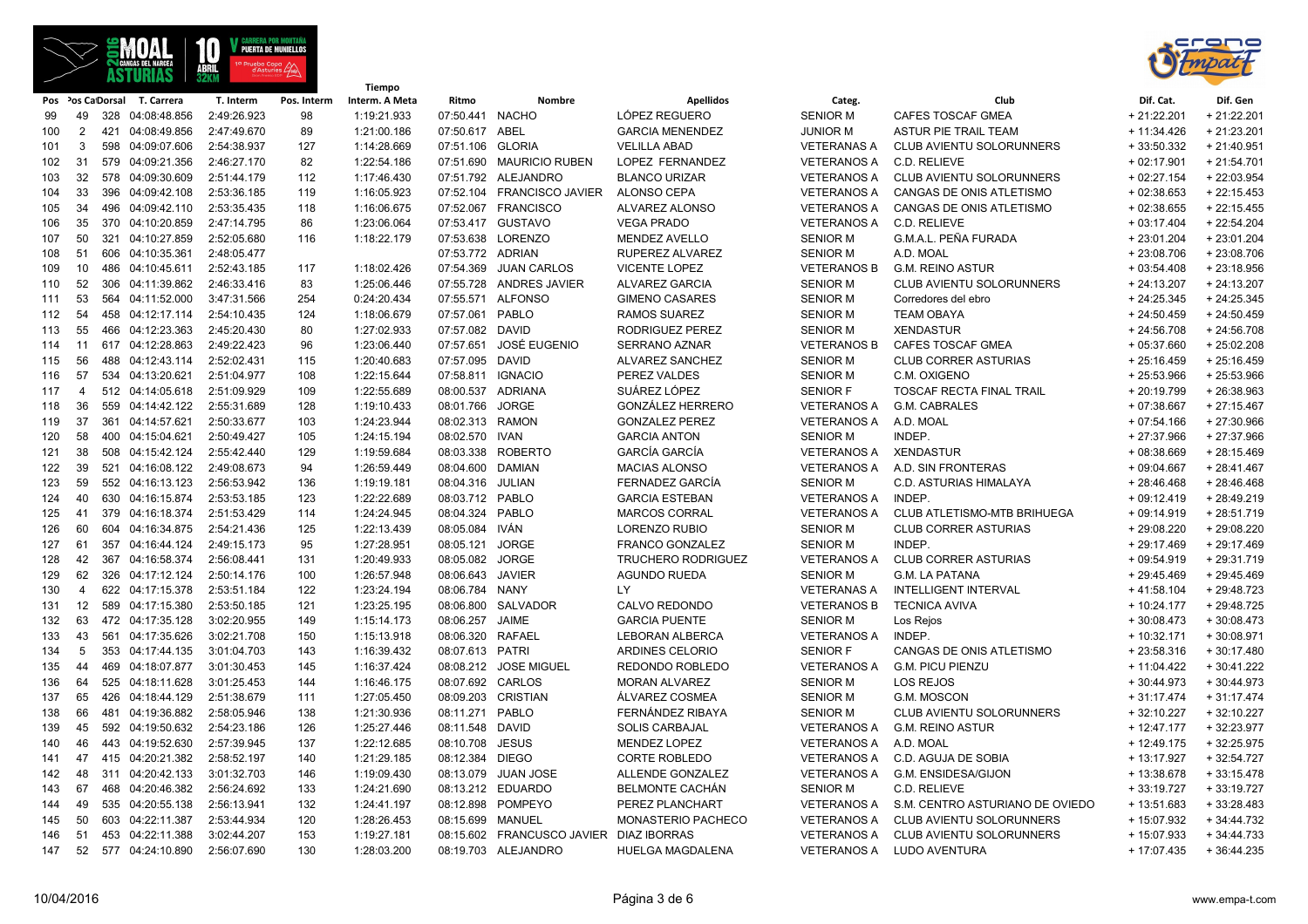



|     |                 |                             |             |             | Tiempo         |                   |                                         |                         |                    |                                 |               |              |
|-----|-----------------|-----------------------------|-------------|-------------|----------------|-------------------|-----------------------------------------|-------------------------|--------------------|---------------------------------|---------------|--------------|
|     |                 | Pos Pos CaDorsal T. Carrera | T. Interm   | Pos. Interm | Interm. A Meta | Ritmo             | Nombre                                  | <b>Apellidos</b>        | Categ.             | Club                            | Dif. Cat.     | Dif. Gen     |
| 99  | 49              | 328 04:08:48.856            | 2:49:26.923 | 98          | 1:19:21.933    | 07:50.441 NACHO   |                                         | LÓPEZ REGUERO           | <b>SENIOR M</b>    | CAFES TOSCAF GMEA               | $+21:22.201$  | + 21:22.201  |
| 100 | 2               | 421 04:08:49.856            | 2:47:49.670 | 89          | 1:21:00.186    | 07:50.617 ABEL    |                                         | <b>GARCIA MENENDEZ</b>  | <b>JUNIOR M</b>    | <b>ASTUR PIE TRAIL TEAM</b>     | $+11:34.426$  | $+21:23.201$ |
| 101 | 3               | 598 04:09:07.606            | 2:54:38.937 | 127         | 1:14:28.669    | 07:51.106 GLORIA  |                                         | <b>VELILLA ABAD</b>     | <b>VETERANAS A</b> | CLUB AVIENTU SOLORUNNERS        | $+33:50.332$  | $+21:40.951$ |
| 102 | 31              | 579 04:09:21.356            | 2:46:27.170 | 82          | 1:22:54.186    |                   | 07:51.690 MAURICIO RUBEN                | LOPEZ FERNANDEZ         | <b>VETERANOS A</b> | C.D. RELIEVE                    | $+02:17.901$  | $+21:54.701$ |
| 103 | 32              | 578 04:09:30.609            | 2:51:44.179 | 112         | 1:17:46.430    |                   | 07:51.792 ALEJANDRO                     | <b>BLANCO URIZAR</b>    | <b>VETERANOS A</b> | <b>CLUB AVIENTU SOLORUNNERS</b> | $+02:27.154$  | + 22:03.954  |
| 104 | 33              | 396 04:09:42.108            | 2:53:36.185 | 119         | 1:16:05.923    |                   | 07:52.104 FRANCISCO JAVIER              | ALONSO CEPA             | <b>VETERANOS A</b> | CANGAS DE ONIS ATLETISMO        | $+02:38.653$  | $+22:15.453$ |
| 105 | 34              | 496 04:09:42.110            | 2:53:35.435 | 118         | 1:16:06.675    |                   | 07:52.067 FRANCISCO                     | ALVAREZ ALONSO          | <b>VETERANOS A</b> | CANGAS DE ONIS ATLETISMO        | $+02:38.655$  | $+22:15.455$ |
| 106 | 35              | 370 04:10:20.859            | 2:47:14.795 | 86          | 1:23:06.064    | 07:53.417         | <b>GUSTAVO</b>                          | <b>VEGA PRADO</b>       | <b>VETERANOS A</b> | C.D. RELIEVE                    | $+03:17.404$  | $+22:54.204$ |
| 107 | 50              | 321 04:10:27.859            | 2:52:05.680 | 116         | 1:18:22.179    |                   | 07:53.638 LORENZO                       | <b>MENDEZ AVELLO</b>    | <b>SENIOR M</b>    | G.M.A.L. PEÑA FURADA            | $+23:01.204$  | $+23:01.204$ |
| 108 | 51              | 606 04:10:35.361            | 2:48:05.477 |             |                | 07:53.772 ADRIAN  |                                         | RUPEREZ ALVAREZ         | <b>SENIOR M</b>    | A.D. MOAL                       | $+23:08.706$  | $+23:08.706$ |
| 109 | 10              | 486 04:10:45.611            | 2:52:43.185 | 117         | 1:18:02.426    | 07:54.369         | <b>JUAN CARLOS</b>                      | <b>VICENTE LOPEZ</b>    | <b>VETERANOS B</b> | <b>G.M. REINO ASTUR</b>         | $+03:54.408$  | $+23:18.956$ |
| 110 | 52              | 306 04:11:39.862            | 2:46:33.416 | 83          | 1:25:06.446    | 07:55.728         | <b>ANDRES JAVIER</b>                    | <b>ALVAREZ GARCIA</b>   | <b>SENIOR M</b>    | CLUB AVIENTU SOLORUNNERS        | $+24:13.207$  | $+24:13.207$ |
| 111 | 53              | 564 04:11:52.000            | 3:47:31.566 | 254         | 0:24:20.434    |                   | 07:55.571 ALFONSO                       | <b>GIMENO CASARES</b>   | <b>SENIOR M</b>    | Corredores del ebro             | $+24:25.345$  | $+24:25.345$ |
| 112 | 54              | 458 04:12:17.114            | 2:54:10.435 | 124         | 1:18:06.679    | 07:57.061 PABLO   |                                         | <b>RAMOS SUAREZ</b>     | <b>SENIOR M</b>    | <b>TEAM OBAYA</b>               | $+24:50.459$  | $+24:50.459$ |
| 113 | 55              | 466 04:12:23.363            | 2:45:20.430 | 80          | 1:27:02.933    | 07:57.082 DAVID   |                                         | RODRIGUEZ PEREZ         | <b>SENIOR M</b>    | <b>XENDASTUR</b>                | $+24:56.708$  | $+24:56.708$ |
| 114 | 11              | 617 04:12:28.863            | 2:49:22.423 | 96          | 1:23:06.440    | 07:57.651         | JOSÉ EUGENIO                            | <b>SERRANO AZNAR</b>    | <b>VETERANOS B</b> | CAFES TOSCAF GMEA               | $+05:37.660$  | $+25:02.208$ |
| 115 | 56              | 488 04:12:43.114            | 2:52:02.431 | 115         | 1:20:40.683    | 07:57.095 DAVID   |                                         | ALVAREZ SANCHEZ         | <b>SENIOR M</b>    | <b>CLUB CORRER ASTURIAS</b>     | $+25:16.459$  | $+25:16.459$ |
| 116 | 57              | 534 04:13:20.621            | 2:51:04.977 | 108         | 1:22:15.644    | 07:58.811 IGNACIO |                                         | PEREZ VALDES            | <b>SENIOR M</b>    | C.M. OXIGENO                    | $+25:53.966$  | $+25:53.966$ |
| 117 | $\overline{4}$  | 512 04:14:05.618            | 2:51:09.929 | 109         | 1:22:55.689    |                   | 08:00.537 ADRIANA                       | SUÁREZ LÓPEZ            | <b>SENIOR F</b>    | TOSCAF RECTA FINAL TRAIL        | $+20:19.799$  | +26:38.963   |
| 118 | 36              | 559 04:14:42.122            | 2:55:31.689 | 128         | 1:19:10.433    | 08:01.766 JORGE   |                                         | GONZÁLEZ HERRERO        | <b>VETERANOS A</b> | G.M. CABRALES                   | $+07:38.667$  | $+27:15.467$ |
| 119 | 37              | 361 04:14:57.621            | 2:50:33.677 | 103         | 1:24:23.944    | 08:02.313 RAMON   |                                         | <b>GONZALEZ PEREZ</b>   | <b>VETERANOS A</b> | A.D. MOAL                       | $+07:54.166$  | $+27:30.966$ |
| 120 | 58              | 400 04:15:04.621            | 2:50:49.427 | 105         | 1:24:15.194    | 08:02.570 IVAN    |                                         | <b>GARCIA ANTON</b>     | <b>SENIOR M</b>    | INDEP.                          | $+27:37.966$  | + 27:37.966  |
| 121 | 38              | 508 04:15:42.124            | 2:55:42.440 | 129         | 1:19:59.684    | 08:03.338         | ROBERTO                                 | <b>GARCÍA GARCÍA</b>    | VETERANOS A        | <b>XENDASTUR</b>                | $+08:38.669$  | $+28:15.469$ |
| 122 | 39              | 521 04:16:08.122            | 2:49:08.673 | 94          | 1:26:59.449    | 08:04.600 DAMIAN  |                                         | <b>MACIAS ALONSO</b>    | <b>VETERANOS A</b> | A.D. SIN FRONTERAS              | $+09:04.667$  | $+28:41.467$ |
| 123 | 59              | 552 04:16:13.123            | 2:56:53.942 | 136         | 1:19:19.181    | 08:04.316         | JULIAN                                  | FERNADEZ GARCÍA         | <b>SENIOR M</b>    | <b>C.D. ASTURIAS HIMALAYA</b>   | $+28:46.468$  | $+28:46.468$ |
| 124 | 40              | 630 04:16:15.874            | 2:53:53.185 | 123         | 1:22:22.689    | 08:03.712 PABLO   |                                         | <b>GARCIA ESTEBAN</b>   | <b>VETERANOS A</b> | INDEP.                          | $+09:12.419$  | $+28:49.219$ |
| 125 | 41              | 379 04:16:18.374            | 2:51:53.429 | 114         | 1:24:24.945    | 08:04.324 PABLO   |                                         | <b>MARCOS CORRAL</b>    | <b>VETERANOS A</b> | CLUB ATLETISMO-MTB BRIHUEGA     | $+09:14.919$  | $+28:51.719$ |
| 126 | 60              | 604 04:16:34.875            | 2:54:21.436 | 125         | 1:22:13.439    | 08:05.084 IVÁN    |                                         | <b>LORENZO RUBIO</b>    | <b>SENIOR M</b>    | <b>CLUB CORRER ASTURIAS</b>     | +29:08.220    | +29:08.220   |
| 127 | 61              | 357 04:16:44.124            | 2:49:15.173 | 95          | 1:27:28.951    | 08:05.121         | <b>JORGE</b>                            | <b>FRANCO GONZALEZ</b>  | <b>SENIOR M</b>    | INDEP.                          | $+29:17.469$  | $+29:17.469$ |
| 128 | 42              | 367 04:16:58.374            | 2:56:08.441 | 131         | 1:20:49.933    | 08:05.082         | <b>JORGE</b>                            | TRUCHERO RODRIGUEZ      | <b>VETERANOS A</b> | <b>CLUB CORRER ASTURIAS</b>     | $+09:54.919$  | +29:31.719   |
| 129 | 62              | 326 04:17:12.124            | 2:50:14.176 | 100         | 1:26:57.948    | 08:06.643         | JAVIER                                  | <b>AGUNDO RUEDA</b>     | <b>SENIOR M</b>    | <b>G.M. LA PATANA</b>           | $+29:45.469$  | $+29:45.469$ |
| 130 | $\overline{4}$  | 622 04:17:15.378            | 2:53:51.184 | 122         | 1:23:24.194    | 08:06.784 NANY    |                                         | LY                      | <b>VETERANAS A</b> | <b>INTELLIGENT INTERVAL</b>     | $+41:58.104$  | + 29:48.723  |
| 131 | 12 <sup>2</sup> | 589 04:17:15.380            | 2:53:50.185 | 121         | 1:23:25.195    | 08:06.800         | SALVADOR                                | CALVO REDONDO           | <b>VETERANOS B</b> | <b>TECNICA AVIVA</b>            | $+10:24.177$  | + 29:48.725  |
| 132 | 63              | 472 04:17:35.128            | 3:02:20.955 | 149         | 1:15:14.173    | 08:06.257 JAIME   |                                         | <b>GARCIA PUENTE</b>    | <b>SENIOR M</b>    | Los Rejos                       | $+30:08.473$  | $+30:08.473$ |
| 133 | 43              | 561 04:17:35.626            | 3:02:21.708 | 150         | 1:15:13.918    | 08:06.320         | <b>RAFAEL</b>                           | <b>LEBORAN ALBERCA</b>  | <b>VETERANOS A</b> | INDEP.                          | $+10:32.171$  | $+30:08.971$ |
| 134 | 5               | 353 04:17:44.135            | 3:01:04.703 | 143         | 1:16:39.432    | 08:07.613 PATRI   |                                         | ARDINES CELORIO         | <b>SENIOR F</b>    | CANGAS DE ONIS ATLETISMO        | $+23:58.316$  | $+30:17.480$ |
| 135 | 44              | 469 04:18:07.877            | 3:01:30.453 | 145         | 1:16:37.424    |                   | 08:08.212 JOSE MIGUEL                   | REDONDO ROBLEDO         | <b>VETERANOS A</b> | <b>G.M. PICU PIENZU</b>         | $+11:04.422$  | $+30:41.222$ |
| 136 | 64              | 525 04:18:11.628            | 3:01:25.453 | 144         | 1:16:46.175    | 08:07.692 CARLOS  |                                         | <b>MORAN ALVAREZ</b>    | <b>SENIOR M</b>    | LOS REJOS                       | $+30:44.973$  | $+30:44.973$ |
| 137 | 65              | 426 04:18:44.129            | 2:51:38.679 | 111         | 1:27:05.450    |                   | 08:09.203 CRISTIAN                      | ÁLVAREZ COSMEA          | <b>SENIOR M</b>    | G.M. MOSCON                     | $+31:17.474$  | $+31:17.474$ |
| 138 | 66              | 481 04:19:36.882            | 2:58:05.946 | 138         | 1:21:30.936    | 08:11.271 PABLO   |                                         | FERNÁNDEZ RIBAYA        | <b>SENIOR M</b>    | CLUB AVIENTU SOLORUNNERS        | $+32:10.227$  | $+32:10.227$ |
| 139 | 45              | 592 04:19:50.632            | 2:54:23.186 | 126         | 1:25:27.446    | 08:11.548 DAVID   |                                         | <b>SOLIS CARBAJAL</b>   | <b>VETERANOS A</b> | <b>G.M. REINO ASTUR</b>         | $+ 12:47.177$ | + 32:23.977  |
| 140 | 46              | 443 04:19:52.630            | 2:57:39.945 | 137         | 1:22:12.685    | 08:10.708 JESUS   |                                         | <b>MENDEZ LOPEZ</b>     | <b>VETERANOS A</b> | A.D. MOAL                       | $+12:49.175$  | $+32:25.975$ |
| 141 | 47              | 415 04:20:21.382            | 2:58:52.197 | 140         | 1:21:29.185    | 08:12.384 DIEGO   |                                         | <b>CORTE ROBLEDO</b>    | <b>VETERANOS A</b> | C.D. AGUJA DE SOBIA             | + 13:17.927   | $+32:54.727$ |
| 142 | 48              | 311 04:20:42.133            | 3:01:32.703 | 146         | 1:19:09.430    | 08:13.079         | JUAN JOSE                               | ALLENDE GONZALEZ        | <b>VETERANOS A</b> | G.M. ENSIDESA/GIJON             | + 13:38.678   | $+33:15.478$ |
| 143 | 67              | 468 04:20:46.382            | 2:56:24.692 | 133         | 1:24:21.690    |                   | 08:13.212 EDUARDO                       | <b>BELMONTE CACHÁN</b>  | <b>SENIOR M</b>    | C.D. RELIEVE                    | $+33:19.727$  | $+33:19.727$ |
| 144 | 49              | 535 04:20:55.138            | 2:56:13.941 | 132         | 1:24:41.197    | 08:12.898         | POMPEYO                                 | PEREZ PLANCHART         | <b>VETERANOS A</b> | S.M. CENTRO ASTURIANO DE OVIEDO | $+13:51.683$  | $+33:28.483$ |
| 145 | 50              | 603 04:22:11.387            | 2:53:44.934 | 120         | 1:28:26.453    | 08:15.699 MANUEL  |                                         | MONASTERIO PACHECO      | <b>VETERANOS A</b> | CLUB AVIENTU SOLORUNNERS        | + 15:07.932   | $+34:44.732$ |
| 146 | 51              | 453 04:22:11.388            | 3:02:44.207 | 153         | 1:19:27.181    |                   | 08:15.602 FRANCUSCO JAVIER DIAZ IBORRAS |                         | <b>VETERANOS A</b> | CLUB AVIENTU SOLORUNNERS        | + 15:07.933   | $+34:44.733$ |
| 147 | 52              | 577 04:24:10.890            | 2:56:07.690 | 130         | 1:28:03.200    |                   | 08:19.703 ALEJANDRO                     | <b>HUELGA MAGDALENA</b> |                    | VETERANOS A LUDO AVENTURA       | $+17:07.435$  | $+36:44.235$ |
|     |                 |                             |             |             |                |                   |                                         |                         |                    |                                 |               |              |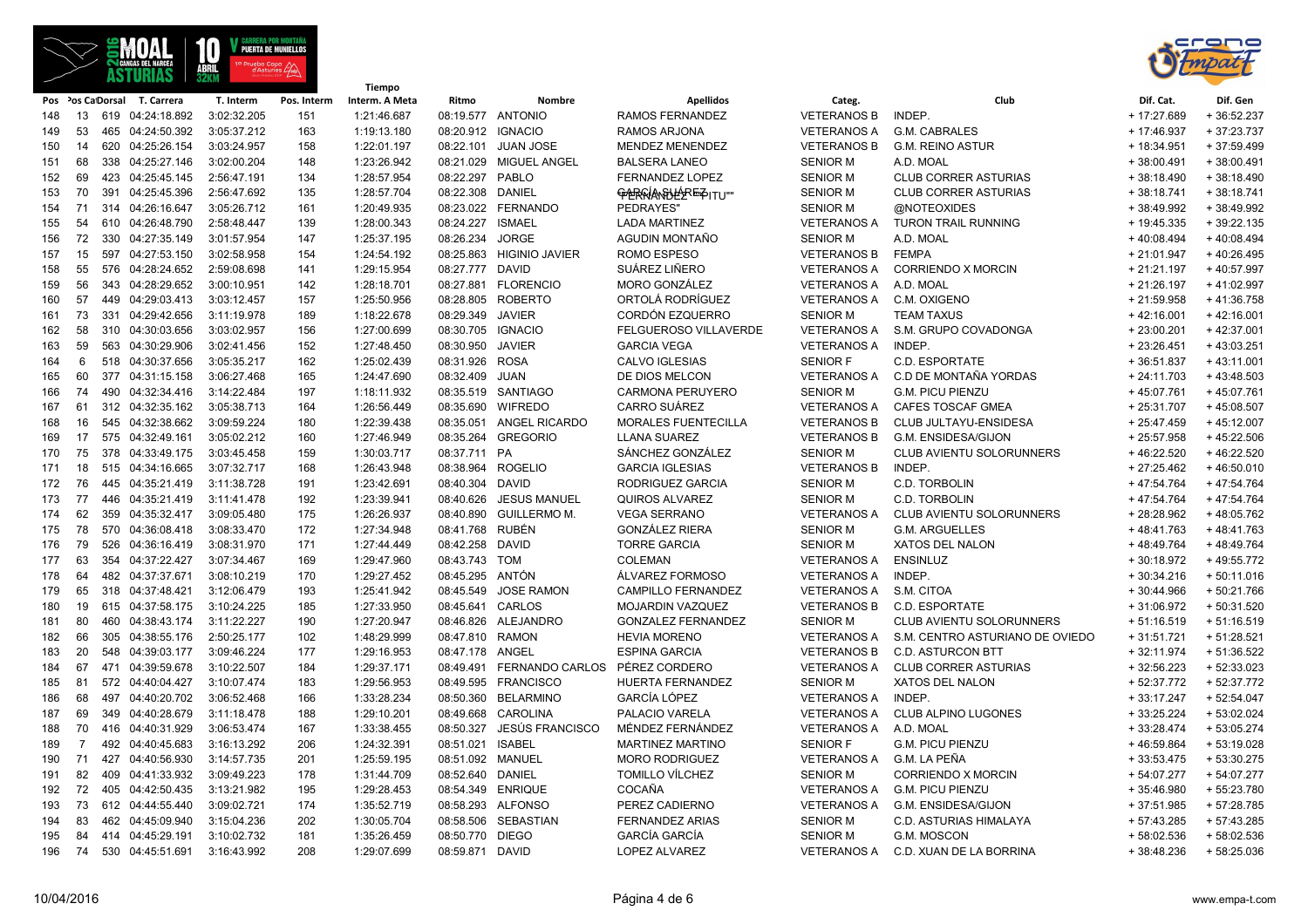



|     |                |     |                              |             | Tiempo      |                |                   |                           |                            |                       |                                             |              |              |
|-----|----------------|-----|------------------------------|-------------|-------------|----------------|-------------------|---------------------------|----------------------------|-----------------------|---------------------------------------------|--------------|--------------|
|     |                |     | Pos Pos Ca Dorsal T. Carrera | T. Interm   | Pos. Interm | Interm. A Meta | Ritmo             | Nombre                    | <b>Apellidos</b>           | Categ.                | Club                                        | Dif. Cat.    | Dif. Gen     |
| 148 | 13             |     | 619 04:24:18.892             | 3:02:32.205 | 151         | 1:21:46.687    |                   | 08:19.577 ANTONIO         | RAMOS FERNANDEZ            | <b>VETERANOS B</b>    | INDEP.                                      | + 17:27.689  | $+36:52.237$ |
| 149 | 53             |     | 465 04:24:50.392             | 3:05:37.212 | 163         | 1:19:13.180    | 08:20.912 IGNACIO |                           | <b>RAMOS ARJONA</b>        | <b>VETERANOS A</b>    | <b>G.M. CABRALES</b>                        | + 17:46.937  | $+37:23.737$ |
| 150 | 14             |     | 620 04:25:26.154             | 3:03:24.957 | 158         | 1:22:01.197    | 08:22.101         | <b>JUAN JOSE</b>          | <b>MENDEZ MENENDEZ</b>     | <b>VETERANOS B</b>    | <b>G.M. REINO ASTUR</b>                     | + 18:34.951  | $+37:59.499$ |
| 151 | 68             |     | 338 04:25:27.146             | 3:02:00.204 | 148         | 1:23:26.942    | 08:21.029         | <b>MIGUEL ANGEL</b>       | <b>BALSERA LANEO</b>       | <b>SENIOR M</b>       | A.D. MOAL                                   | $+38:00.491$ | $+38:00.491$ |
| 152 | 69             |     | 423 04:25:45.145             | 2:56:47.191 | 134         | 1:28:57.954    | 08:22.297         | PABLO                     | FERNANDEZ LOPEZ            | <b>SENIOR M</b>       | <b>CLUB CORRER ASTURIAS</b>                 | $+38:18.490$ | $+38:18.490$ |
| 153 | 70             | 391 | 04:25:45.396                 | 2:56:47.692 | 135         | 1:28:57.704    | 08:22.308         | DANIEL                    | GABRAIAN BLEERE FOITU !!!  | <b>SENIOR M</b>       | <b>CLUB CORRER ASTURIAS</b>                 | $+38:18.741$ | $+38:18.741$ |
| 154 | 71             |     | 314 04:26:16.647             | 3:05:26.712 | 161         | 1:20:49.935    |                   | 08:23.022 FERNANDO        | PEDRAYES"                  | <b>SENIOR M</b>       | @NOTEOXIDES                                 | +38:49.992   | +38:49.992   |
| 155 | 54             |     | 610 04:26:48.790             | 2:58:48.447 | 139         | 1:28:00.343    | 08:24.227         | <b>ISMAEL</b>             | <b>LADA MARTINEZ</b>       | <b>VETERANOS A</b>    | <b>TURON TRAIL RUNNING</b>                  | + 19:45.335  | $+39:22.135$ |
| 156 | 72             |     | 330 04:27:35.149             | 3:01:57.954 | 147         | 1:25:37.195    | 08:26.234         | <b>JORGE</b>              | AGUDIN MONTAÑO             | <b>SENIOR M</b>       | A.D. MOAL                                   | $+40:08.494$ | $+40:08.494$ |
| 157 | 15             |     | 597 04:27:53.150             | 3:02:58.958 | 154         | 1:24:54.192    |                   | 08:25.863 HIGINIO JAVIER  | ROMO ESPESO                | <b>VETERANOS B</b>    | <b>FEMPA</b>                                | $+21:01.947$ | $+40:26.495$ |
| 158 | 55             |     | 576 04:28:24.652             | 2:59:08.698 | 141         | 1:29:15.954    | 08:27.777 DAVID   |                           | SUÁREZ LIÑERO              | <b>VETERANOS A</b>    | <b>CORRIENDO X MORCIN</b>                   | $+21:21.197$ | +40:57.997   |
| 159 | 56             |     | 343 04:28:29.652             | 3:00:10.951 | 142         | 1:28:18.701    |                   | 08:27.881 FLORENCIO       | <b>MORO GONZÁLEZ</b>       | <b>VETERANOS A</b>    | A.D. MOAL                                   | $+21:26.197$ | $+41:02.997$ |
| 160 | 57             |     | 449 04:29:03.413             | 3:03:12.457 | 157         | 1:25:50.956    |                   | 08:28.805 ROBERTO         | ORTOLÁ RODRÍGUEZ           | <b>VETERANOS A</b>    | C.M. OXIGENO                                | $+21:59.958$ | $+41:36.758$ |
| 161 | 73             |     | 331 04:29:42.656             | 3:11:19.978 | 189         | 1:18:22.678    | 08:29.349         | JAVIER                    | CORDÓN EZQUERRO            | <b>SENIOR M</b>       | <b>TEAM TAXUS</b>                           | $+42:16.001$ | $+42:16.001$ |
| 162 | 58             |     | 310 04:30:03.656             | 3:03:02.957 | 156         | 1:27:00.699    | 08:30.705 IGNACIO |                           | FELGUEROSO VILLAVERDE      | <b>VETERANOS A</b>    | S.M. GRUPO COVADONGA                        | $+23:00.201$ | $+42:37.001$ |
| 163 | 59             |     | 563 04:30:29.906             | 3:02:41.456 | 152         | 1:27:48.450    | 08:30.950         | <b>JAVIER</b>             | <b>GARCIA VEGA</b>         | <b>VETERANOS A</b>    | INDEP.                                      | $+23:26.451$ | $+43:03.251$ |
| 164 | 6              |     | 518 04:30:37.656             | 3:05:35.217 | 162         | 1:25:02.439    | 08:31.926         | <b>ROSA</b>               | CALVO IGLESIAS             | <b>SENIOR F</b>       | C.D. ESPORTATE                              | $+36:51.837$ | $+43:11.001$ |
| 165 | 60             |     | 377 04:31:15.158             | 3:06:27.468 | 165         | 1:24:47.690    | 08:32.409         | JUAN                      | DE DIOS MELCON             | <b>VETERANOS A</b>    | C.D DE MONTAÑA YORDAS                       | $+24:11.703$ | $+43:48.503$ |
| 166 | 74             |     | 490 04:32:34.416             | 3:14:22.484 | 197         | 1:18:11.932    |                   | 08:35.519 SANTIAGO        | <b>CARMONA PERUYERO</b>    | <b>SENIOR M</b>       | <b>G.M. PICU PIENZU</b>                     | $+45:07.761$ | +45:07.761   |
| 167 | 61             |     | 312 04:32:35.162             | 3:05:38.713 | 164         | 1:26:56.449    | 08:35.690         | <b>WIFREDO</b>            | <b>CARRO SUÁREZ</b>        | <b>VETERANOS A</b>    | <b>CAFES TOSCAF GMEA</b>                    | $+25:31.707$ | $+45:08.507$ |
| 168 | 16             |     | 545 04:32:38.662             | 3:09:59.224 | 180         | 1:22:39.438    | 08:35.051         | <b>ANGEL RICARDO</b>      | <b>MORALES FUENTECILLA</b> | <b>VETERANOS B</b>    | <b>CLUB JULTAYU-ENSIDESA</b>                | $+25:47.459$ | $+45:12.007$ |
| 169 | 17             |     | 575 04:32:49.161             | 3:05:02.212 | 160         | 1:27:46.949    | 08:35.264         | <b>GREGORIO</b>           | <b>LLANA SUAREZ</b>        | <b>VETERANOS B</b>    | G.M. ENSIDESA/GIJON                         | $+25:57.958$ | $+45:22.506$ |
| 170 | 75             |     | 378 04:33:49.175             | 3:03:45.458 | 159         | 1:30:03.717    | 08:37.711 PA      |                           | SÁNCHEZ GONZÁLEZ           | <b>SENIOR M</b>       | CLUB AVIENTU SOLORUNNERS                    | $+46:22.520$ | $+46:22.520$ |
| 171 | 18             |     | 515 04:34:16.665             | 3:07:32.717 | 168         | 1:26:43.948    |                   | 08:38.964 ROGELIO         | <b>GARCIA IGLESIAS</b>     | <b>VETERANOS B</b>    | INDEP.                                      | $+27:25.462$ | $+46:50.010$ |
| 172 | 76             |     | 445 04:35:21.419             | 3:11:38.728 | 191         | 1:23:42.691    | 08:40.304         | <b>DAVID</b>              | RODRIGUEZ GARCIA           | <b>SENIOR M</b>       | C.D. TORBOLIN                               | +47:54.764   | $+47:54.764$ |
| 173 | 77             |     | 446 04:35:21.419             | 3:11:41.478 | 192         | 1:23:39.941    | 08:40.626         | <b>JESUS MANUEL</b>       | QUIROS ALVAREZ             | <b>SENIOR M</b>       | C.D. TORBOLIN                               | +47:54.764   | +47:54.764   |
| 174 | 62             |     | 359 04:35:32.417             | 3:09:05.480 | 175         | 1:26:26.937    | 08:40.890         | <b>GUILLERMO M.</b>       | <b>VEGA SERRANO</b>        | <b>VETERANOS A</b>    | CLUB AVIENTU SOLORUNNERS                    | +28:28.962   | +48:05.762   |
| 175 | 78             |     | 570 04:36:08.418             | 3:08:33.470 | 172         | 1:27:34.948    | 08:41.768 RUBÉN   |                           | <b>GONZÁLEZ RIERA</b>      | <b>SENIOR M</b>       | <b>G.M. ARGUELLES</b>                       | $+48:41.763$ | $+48:41.763$ |
| 176 | 79             |     | 526 04:36:16.419             | 3:08:31.970 | 171         | 1:27:44.449    | 08:42.258         | <b>DAVID</b>              | <b>TORRE GARCIA</b>        | <b>SENIOR M</b>       | <b>XATOS DEL NALON</b>                      | $+48:49.764$ | $+48:49.764$ |
| 177 | 63             |     | 354 04:37:22.427             | 3:07:34.467 | 169         | 1:29:47.960    | 08:43.743 TOM     |                           | <b>COLEMAN</b>             | <b>VETERANOS A</b>    | <b>ENSINLUZ</b>                             | $+30:18.972$ | $+49:55.772$ |
| 178 | 64             |     | 482 04:37:37.671             | 3:08:10.219 | 170         | 1:29:27.452    | 08:45.295         | ANTÓN                     | ÁLVAREZ FORMOSO            | <b>VETERANOS A</b>    | <b>INDEP</b>                                | $+30:34.216$ | $+50:11.016$ |
| 179 | 65             |     | 318 04:37:48.421             | 3:12:06.479 | 193         | 1:25:41.942    | 08:45.549         | <b>JOSE RAMON</b>         | <b>CAMPILLO FERNANDEZ</b>  | <b>VETERANOS A</b>    | S.M. CITOA                                  | $+30:44.966$ | $+50:21.766$ |
| 180 | 19             |     | 615 04:37:58.175             | 3:10:24.225 | 185         | 1:27:33.950    | 08:45.641 CARLOS  |                           | <b>MOJARDIN VAZQUEZ</b>    | <b>VETERANOS B</b>    | <b>C.D. ESPORTATE</b>                       | $+31:06.972$ | $+50:31.520$ |
| 181 | 80             |     | 460 04:38:43.174             | 3:11:22.227 | 190         | 1:27:20.947    |                   | 08:46.826 ALEJANDRO       | <b>GONZALEZ FERNANDEZ</b>  | <b>SENIOR M</b>       | <b>CLUB AVIENTU SOLORUNNERS</b>             | $+51:16.519$ | $+51:16.519$ |
| 182 | 66             |     | 305 04:38:55.176             | 2:50:25.177 | 102         | 1:48:29.999    | 08:47.810 RAMON   |                           | <b>HEVIA MORENO</b>        |                       | VETERANOS A S.M. CENTRO ASTURIANO DE OVIEDO | $+31:51.721$ | $+51:28.521$ |
| 183 | 20             |     | 548 04:39:03.177             | 3:09:46.224 | 177         | 1:29:16.953    | 08:47.178         | ANGEL                     | <b>ESPINA GARCIA</b>       | <b>VETERANOS B</b>    | <b>C.D. ASTURCON BTT</b>                    | $+32:11.974$ | $+51:36.522$ |
| 184 | 67             |     | 471 04:39:59.678             | 3:10:22.507 | 184         | 1:29:37.171    |                   | 08:49.491 FERNANDO CARLOS | PÉREZ CORDERO              | <b>VETERANOS A</b>    | <b>CLUB CORRER ASTURIAS</b>                 | $+32:56.223$ | $+52:33.023$ |
| 185 | 81             |     | 572 04:40:04.427             | 3:10:07.474 | 183         | 1:29:56.953    | 08:49.595         | <b>FRANCISCO</b>          | <b>HUERTA FERNANDEZ</b>    | <b>SENIOR M</b>       | <b>XATOS DEL NALON</b>                      | $+52:37.772$ | +52:37.772   |
| 186 | 68             |     | 497 04:40:20.702             | 3:06:52.468 | 166         | 1:33:28.234    | 08:50.360         | <b>BELARMINO</b>          | GARCÍA LÓPEZ               | <b>VETERANOS A</b>    | INDEP.                                      | $+33:17.247$ | $+52:54.047$ |
| 187 | 69             |     | 349 04:40:28.679             | 3:11:18.478 | 188         | 1:29:10.201    | 08:49.668         | CAROLINA                  | PALACIO VARELA             | <b>VETERANOS A</b>    | <b>CLUB ALPINO LUGONES</b>                  | $+33:25.224$ | $+53:02.024$ |
| 188 | 70             |     | 416 04:40:31.929             | 3:06:53.474 | 167         | 1:33:38.455    | 08:50.327         | JESÚS FRANCISCO           | MÉNDEZ FERNÁNDEZ           | VETERANOS A A.D. MOAL |                                             | $+33:28.474$ | + 53:05.274  |
| 189 | $\overline{7}$ |     | 492 04:40:45.683             | 3:16:13.292 | 206         | 1:24:32.391    | 08:51.021         | <b>ISABEL</b>             | <b>MARTINEZ MARTINO</b>    | <b>SENIOR F</b>       | <b>G.M. PICU PIENZU</b>                     | +46:59.864   | $+53:19.028$ |
| 190 | 71             |     | 427 04:40:56.930             | 3:14:57.735 | 201         | 1:25:59.195    | 08:51.092 MANUEL  |                           | <b>MORO RODRIGUEZ</b>      | <b>VETERANOS A</b>    | G.M. LA PEÑA                                | $+33:53.475$ | $+53:30.275$ |
| 191 | 82             |     | 409 04:41:33.932             | 3:09:49.223 | 178         | 1:31:44.709    | 08:52.640         | DANIEL                    | <b>TOMILLO VÍLCHEZ</b>     | <b>SENIOR M</b>       | <b>CORRIENDO X MORCIN</b>                   | $+54:07.277$ | + 54:07.277  |
| 192 | 72             |     | 405 04:42:50.435             | 3:13:21.982 | 195         | 1:29:28.453    |                   | 08:54.349 ENRIQUE         | COCAÑA                     | <b>VETERANOS A</b>    | <b>G.M. PICU PIENZU</b>                     | $+35:46.980$ | + 55:23.780  |
| 193 | 73             |     | 612 04:44:55.440             | 3:09:02.721 | 174         | 1:35:52.719    |                   | 08:58.293 ALFONSO         | PEREZ CADIERNO             | <b>VETERANOS A</b>    | G.M. ENSIDESA/GIJON                         | $+37:51.985$ | + 57:28.785  |
| 194 | 83             |     | 462 04:45:09.940             | 3:15:04.236 | 202         | 1:30:05.704    | 08:58.506         | SEBASTIAN                 | <b>FERNANDEZ ARIAS</b>     | <b>SENIOR M</b>       | C.D. ASTURIAS HIMALAYA                      | $+57:43.285$ | $+57:43.285$ |
| 195 | 84             |     | 414 04:45:29.191             | 3:10:02.732 | 181         | 1:35:26.459    | 08:50.770         | <b>DIEGO</b>              | GARCÍA GARCÍA              | <b>SENIOR M</b>       | G.M. MOSCON                                 | $+58:02.536$ | $+58:02.536$ |
| 196 | 74             |     | 530 04:45:51.691             | 3:16:43.992 | 208         | 1:29:07.699    | 08:59.871 DAVID   |                           | LOPEZ ALVAREZ              | <b>VETERANOS A</b>    | C.D. XUAN DE LA BORRINA                     | $+38:48.236$ | $+58:25.036$ |
|     |                |     |                              |             |             |                |                   |                           |                            |                       |                                             |              |              |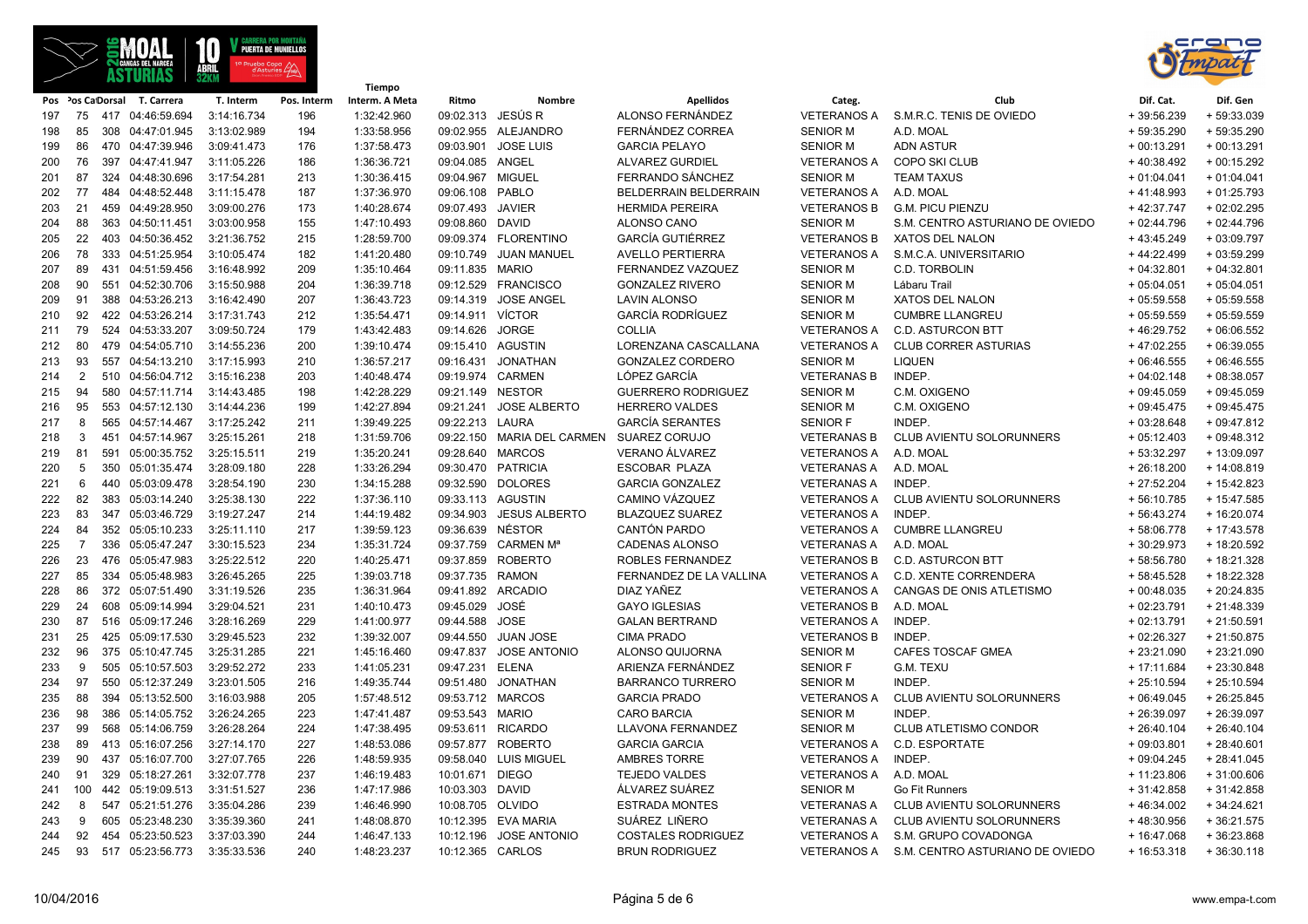

**Tiempo**



|     |                |                                      |                            |             | Hempo          |                                     |                            |                           |                       |                                             |              |              |
|-----|----------------|--------------------------------------|----------------------------|-------------|----------------|-------------------------------------|----------------------------|---------------------------|-----------------------|---------------------------------------------|--------------|--------------|
|     |                | Pos Pos CaDorsal T. Carrera          | T. Interm                  | Pos. Interm | Interm. A Meta | Ritmo                               | Nombre                     | <b>Apellidos</b>          | Categ.                | Club                                        | Dif. Cat.    | Dif. Gen     |
| 197 | 75             | 417 04:46:59.694                     | 3:14:16.734                | 196         | 1:32:42.960    | 09:02.313 JESÚS R                   |                            | ALONSO FERNÁNDEZ          | <b>VETERANOS A</b>    | S.M.R.C. TENIS DE OVIEDO                    | $+39:56.239$ | $+59:33.039$ |
| 198 | 85             | 308 04:47:01.945                     | 3:13:02.989                | 194         | 1:33:58.956    |                                     | 09:02.955 ALEJANDRO        | FERNÁNDEZ CORREA          | <b>SENIOR M</b>       | A.D. MOAL                                   | $+59:35.290$ | + 59:35.290  |
| 199 | 86             | 470 04:47:39.946                     | 3:09:41.473                | 176         | 1:37:58.473    | 09:03.901                           | <b>JOSE LUIS</b>           | <b>GARCIA PELAYO</b>      | <b>SENIOR M</b>       | <b>ADN ASTUR</b>                            | $+00:13.291$ | $+00:13.291$ |
| 200 | 76             | 397 04:47:41.947                     | 3:11:05.226                | 186         | 1:36:36.721    | 09:04.085 ANGEL                     |                            | <b>ALVAREZ GURDIEL</b>    | <b>VETERANOS A</b>    | <b>COPO SKI CLUB</b>                        | $+40:38.492$ | $+00:15.292$ |
| 201 | 87             | 324 04:48:30.696                     | 3:17:54.281                | 213         | 1:30:36.415    | 09:04.967 MIGUEL                    |                            | FERRANDO SÁNCHEZ          | <b>SENIOR M</b>       | <b>TEAM TAXUS</b>                           | $+01:04.041$ | $+01:04.041$ |
| 202 | 77             | 484 04:48:52.448                     | 3:11:15.478                | 187         | 1:37:36.970    | 09:06.108 PABLO                     |                            | BELDERRAIN BELDERRAIN     | VETERANOS A A.D. MOAL |                                             | $+41:48.993$ | $+01:25.793$ |
| 203 | 21             | 459 04:49:28.950                     | 3:09:00.276                | 173         | 1:40:28.674    | 09:07.493                           | <b>JAVIER</b>              | <b>HERMIDA PEREIRA</b>    | <b>VETERANOS B</b>    | <b>G.M. PICU PIENZU</b>                     | $+42:37.747$ | $+02:02.295$ |
| 204 | 88             | 363 04:50:11.451                     | 3:03:00.958                | 155         | 1:47:10.493    | 09:08.860 DAVID                     |                            | ALONSO CANO               | <b>SENIOR M</b>       | S.M. CENTRO ASTURIANO DE OVIEDO             | $+02:44.796$ | $+02:44.796$ |
| 205 | 22             | 403 04:50:36.452                     | 3:21:36.752                | 215         | 1:28:59.700    |                                     | 09:09.374 FLORENTINO       | <b>GARCÍA GUTIÉRREZ</b>   | <b>VETERANOS B</b>    | XATOS DEL NALON                             | $+43:45.249$ | $+03:09.797$ |
| 206 | 78             | 333 04:51:25.954                     | 3:10:05.474                | 182         | 1:41:20.480    | 09:10.749                           | JUAN MANUEL                | <b>AVELLO PERTIERRA</b>   | VETERANOS A           | S.M.C.A. UNIVERSITARIO                      | $+44:22.499$ | $+03:59.299$ |
| 207 | 89             | 431 04:51:59.456                     | 3:16:48.992                | 209         | 1:35:10.464    | 09:11.835 MARIO                     |                            | FERNANDEZ VAZQUEZ         | <b>SENIOR M</b>       | C.D. TORBOLIN                               | $+04:32.801$ | $+04:32.801$ |
| 208 | 90             | 551 04:52:30.706                     | 3:15:50.988                | 204         | 1:36:39.718    |                                     | 09:12.529 FRANCISCO        | <b>GONZALEZ RIVERO</b>    | <b>SENIOR M</b>       | Lábaru Trail                                | $+05:04.051$ | $+05:04.051$ |
| 209 | 91             | 388 04:53:26.213                     | 3:16:42.490                | 207         | 1:36:43.723    | 09:14.319                           | <b>JOSE ANGEL</b>          | <b>LAVIN ALONSO</b>       | <b>SENIOR M</b>       | XATOS DEL NALON                             | $+05:59.558$ | $+05:59.558$ |
| 210 | 92             | 422 04:53:26.214                     | 3:17:31.743                | 212         | 1:35:54.471    | 09:14.911 VÍCTOR                    |                            | <b>GARCÍA RODRÍGUEZ</b>   | <b>SENIOR M</b>       | <b>CUMBRE LLANGREU</b>                      | $+05:59.559$ | $+05:59.559$ |
| 211 | 79             | 524 04:53:33.207                     | 3:09:50.724                | 179         | 1:43:42.483    | 09:14.626                           | <b>JORGE</b>               | <b>COLLIA</b>             | <b>VETERANOS A</b>    | <b>C.D. ASTURCON BTT</b>                    | $+46:29.752$ | $+06:06.552$ |
| 212 | 80             | 479 04:54:05.710                     | 3:14:55.236                | 200         | 1:39:10.474    | 09:15.410 AGUSTIN                   |                            | LORENZANA CASCALLANA      | <b>VETERANOS A</b>    | <b>CLUB CORRER ASTURIAS</b>                 | $+47:02.255$ | $+06:39.055$ |
| 213 | 93             | 557 04:54:13.210                     | 3:17:15.993                | 210         | 1:36:57.217    | 09:16.431                           | <b>JONATHAN</b>            | <b>GONZALEZ CORDERO</b>   | <b>SENIOR M</b>       | <b>LIQUEN</b>                               | $+06:46.555$ | $+06:46.555$ |
| 214 | $\overline{2}$ | 510 04:56:04.712                     | 3:15:16.238                | 203         | 1:40:48.474    | 09:19.974 CARMEN                    |                            | LÓPEZ GARCÍA              | <b>VETERANAS B</b>    | INDEP.                                      | $+04:02.148$ | $+08:38.057$ |
| 215 | 94             | 580 04:57:11.714                     | 3:14:43.485                | 198         | 1:42:28.229    | 09:21.149 NESTOR                    |                            | <b>GUERRERO RODRIGUEZ</b> | <b>SENIOR M</b>       | C.M. OXIGENO                                | $+09:45.059$ | $+09:45.059$ |
| 216 | 95             | 553 04:57:12.130                     | 3:14:44.236                | 199         | 1:42:27.894    | 09:21.241                           | <b>JOSE ALBERTO</b>        | <b>HERRERO VALDES</b>     | <b>SENIOR M</b>       | C.M. OXIGENO                                | $+09:45.475$ | $+09:45.475$ |
| 217 | 8              | 565 04:57:14.467                     | 3:17:25.242                | 211         | 1:39:49.225    | 09:22.213 LAURA                     |                            | <b>GARCÍA SERANTES</b>    | <b>SENIOR F</b>       | INDEP.                                      | $+03:28.648$ | $+09:47.812$ |
| 218 | 3              | 451 04:57:14.967                     | 3:25:15.261                | 218         | 1:31:59.706    |                                     | 09:22.150 MARIA DEL CARMEN | <b>SUAREZ CORUJO</b>      | <b>VETERANAS B</b>    | CLUB AVIENTU SOLORUNNERS                    | $+05:12.403$ | $+09:48.312$ |
| 219 | 81             | 591 05:00:35.752                     | 3:25:15.511                | 219         | 1:35:20.241    | 09:28.640 MARCOS                    |                            | VERANO ÁLVAREZ            | <b>VETERANOS A</b>    | A.D. MOAL                                   | + 53:32.297  | + 13:09.097  |
| 220 | 5              | 350 05:01:35.474                     | 3:28:09.180                | 228         | 1:33:26.294    | 09:30.470 PATRICIA                  |                            | <b>ESCOBAR PLAZA</b>      | <b>VETERANAS A</b>    | A.D. MOAL                                   | $+26:18.200$ | $+14:08.819$ |
| 221 | 6              | 440 05:03:09.478                     | 3:28:54.190                | 230         | 1:34:15.288    |                                     | 09:32.590 DOLORES          | <b>GARCIA GONZALEZ</b>    | <b>VETERANAS A</b>    | INDEP.                                      | $+27:52.204$ | $+15:42.823$ |
| 222 | 82             | 383 05:03:14.240                     | 3:25:38.130                | 222         | 1:37:36.110    | 09:33.113 AGUSTIN                   |                            | CAMINO VÁZQUEZ            | <b>VETERANOS A</b>    | CLUB AVIENTU SOLORUNNERS                    | $+56:10.785$ | + 15:47.585  |
| 223 | 83             | 347 05:03:46.729                     | 3:19:27.247                | 214         | 1:44:19.482    |                                     | 09:34.903 JESUS ALBERTO    | <b>BLAZQUEZ SUAREZ</b>    | <b>VETERANOS A</b>    | INDEP.                                      | $+56:43.274$ | $+16:20.074$ |
| 224 | 84             | 352 05:05:10.233                     | 3:25:11.110                | 217         | 1:39:59.123    | 09:36.639 NÉSTOR                    |                            | CANTÓN PARDO              | <b>VETERANOS A</b>    | <b>CUMBRE LLANGREU</b>                      | +58:06.778   | $+17:43.578$ |
| 225 | $\overline{7}$ | 336 05:05:47.247                     | 3:30:15.523                | 234         | 1:35:31.724    |                                     | 09:37.759 CARMEN Mª        | <b>CADENAS ALONSO</b>     | <b>VETERANAS A</b>    | A.D. MOAL                                   | $+30:29.973$ | + 18:20.592  |
| 226 | 23             | 476 05:05:47.983                     | 3:25:22.512                | 220         | 1:40:25.471    |                                     | 09:37.859 ROBERTO          | ROBLES FERNANDEZ          | <b>VETERANOS B</b>    | <b>C.D. ASTURCON BTT</b>                    | +58:56.780   | + 18:21.328  |
|     | 85             | 334 05:05:48.983                     | 3:26:45.265                | 225         | 1:39:03.718    | 09:37.735 RAMON                     |                            | FERNANDEZ DE LA VALLINA   | <b>VETERANOS A</b>    | <b>C.D. XENTE CORRENDERA</b>                | + 58:45.528  | + 18:22.328  |
| 227 | 86             |                                      | 3:31:19.526                |             |                |                                     |                            | DIAZ YAÑEZ                | <b>VETERANOS A</b>    |                                             |              | $+20:24.835$ |
| 228 |                | 372 05:07:51.490                     |                            | 235         | 1:36:31.964    | 09:41.892 ARCADIO<br>09:45.029 JOSÉ |                            |                           |                       | CANGAS DE ONIS ATLETISMO                    | $+00:48.035$ |              |
| 229 | 24             | 608 05:09:14.994                     | 3:29:04.521                | 231         | 1:40:10.473    |                                     |                            | <b>GAYO IGLESIAS</b>      | <b>VETERANOS B</b>    | A.D. MOAL                                   | $+02:23.791$ | $+21:48.339$ |
| 230 | 87             | 516 05:09:17.246                     | 3:28:16.269<br>3:29:45.523 | 229         | 1:41:00.977    | 09:44.588                           | <b>JOSE</b>                | <b>GALAN BERTRAND</b>     | <b>VETERANOS A</b>    | INDEP.                                      | $+02:13.791$ | $+21:50.591$ |
| 231 | 25<br>96       | 425 05:09:17.530<br>375 05:10:47.745 |                            | 232         | 1:39:32.007    | 09:44.550                           | <b>JUAN JOSE</b>           | <b>CIMA PRADO</b>         | <b>VETERANOS B</b>    | INDEP.                                      | $+02:26.327$ | $+21:50.875$ |
| 232 |                |                                      | 3:25:31.285                | 221         | 1:45:16.460    | 09:47.837                           | <b>JOSE ANTONIO</b>        | ALONSO QUIJORNA           | <b>SENIOR M</b>       | <b>CAFES TOSCAF GMEA</b>                    | $+23:21.090$ | $+23:21.090$ |
| 233 | 9              | 505 05:10:57.503                     | 3:29:52.272                | 233         | 1:41:05.231    | 09:47.231 ELENA                     |                            | ARIENZA FERNÁNDEZ         | <b>SENIOR F</b>       | G.M. TEXU                                   | $+17:11.684$ | $+23:30.848$ |
| 234 | 97             | 550 05:12:37.249                     | 3:23:01.505                | 216         | 1:49:35.744    | 09:51.480                           | JONATHAN                   | <b>BARRANCO TURRERO</b>   | <b>SENIOR M</b>       | INDEP.                                      | $+25:10.594$ | $+25:10.594$ |
| 235 | 88             | 394 05:13:52.500                     | 3:16:03.988                | 205         | 1:57:48.512    | 09:53.712 MARCOS                    |                            | <b>GARCIA PRADO</b>       | <b>VETERANOS A</b>    | CLUB AVIENTU SOLORUNNERS                    | $+06:49.045$ | $+26:25.845$ |
| 236 | 98             | 386 05:14:05.752                     | 3:26:24.265                | 223         | 1:47:41.487    | 09:53.543 MARIO                     |                            | <b>CARO BARCIA</b>        | <b>SENIOR M</b>       | INDEP.                                      | $+26:39.097$ | +26:39.097   |
| 237 | 99             | 568 05:14:06.759                     | 3:26:28.264                | 224         | 1:47:38.495    |                                     | 09:53.611 RICARDO          | LLAVONA FERNANDEZ         | <b>SENIOR M</b>       | CLUB ATLETISMO CONDOR                       | $+26:40.104$ | $+26:40.104$ |
| 238 | 89             | 413 05:16:07.256                     | 3:27:14.170                | 227         | 1:48:53.086    |                                     | 09:57.877 ROBERTO          | <b>GARCIA GARCIA</b>      | <b>VETERANOS A</b>    | C.D. ESPORTATE                              | $+09:03.801$ | $+28:40.601$ |
| 239 | 90             | 437 05:16:07.700                     | 3:27:07.765                | 226         | 1:48:59.935    |                                     | 09:58.040 LUIS MIGUEL      | AMBRES TORRE              | <b>VETERANOS A</b>    | INDEP.                                      | $+09:04.245$ | $+28:41.045$ |
| 240 | 91             | 329 05:18:27.261                     | 3:32:07.778                | 237         | 1:46:19.483    | 10:01.671 DIEGO                     |                            | <b>TEJEDO VALDES</b>      | <b>VETERANOS A</b>    | A.D. MOAL                                   | $+11:23.806$ | $+31:00.606$ |
| 241 | 100            | 442 05:19:09.513                     | 3:31:51.527                | 236         | 1:47:17.986    | 10:03.303 DAVID                     |                            | ÁLVAREZ SUÁREZ            | <b>SENIOR M</b>       | Go Fit Runners                              | $+31:42.858$ | $+31:42.858$ |
| 242 | 8              | 547 05:21:51.276                     | 3:35:04.286                | 239         | 1:46:46.990    | 10:08.705 OLVIDO                    |                            | <b>ESTRADA MONTES</b>     | <b>VETERANAS A</b>    | CLUB AVIENTU SOLORUNNERS                    | $+46:34.002$ | $+34:24.621$ |
| 243 | 9              | 605 05:23:48.230                     | 3:35:39.360                | 241         | 1:48:08.870    |                                     | 10:12.395 EVA MARIA        | SUÁREZ LIÑERO             | <b>VETERANAS A</b>    | <b>CLUB AVIENTU SOLORUNNERS</b>             | $+48:30.956$ | $+36:21.575$ |
| 244 | 92             | 454 05:23:50.523                     | 3:37:03.390                | 244         | 1:46:47.133    | 10:12.196                           | <b>JOSE ANTONIO</b>        | <b>COSTALES RODRIGUEZ</b> |                       | VETERANOS A S.M. GRUPO COVADONGA            | + 16:47.068  | $+36:23.868$ |
| 245 | 93             | 517 05:23:56.773                     | 3:35:33.536                | 240         | 1:48:23.237    | 10:12.365 CARLOS                    |                            | <b>BRUN RODRIGUEZ</b>     |                       | VETERANOS A S.M. CENTRO ASTURIANO DE OVIEDO | $+16:53.318$ | $+36:30.118$ |